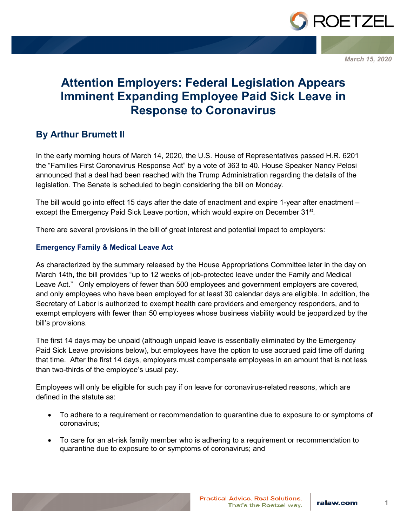

*March 15, 2020*

# **Attention Employers: Federal Legislation Appears Imminent Expanding Employee Paid Sick Leave in Response to Coronavirus**

# **By Arthur Brumett II**

In the early morning hours of March 14, 2020, the U.S. House of Representatives passed H.R. 6201 the "Families First Coronavirus Response Act" by a vote of 363 to 40. House Speaker Nancy Pelosi announced that a deal had been reached with the Trump Administration regarding the details of the legislation. The Senate is scheduled to begin considering the bill on Monday.

The bill would go into effect 15 days after the date of enactment and expire 1-year after enactment – except the Emergency Paid Sick Leave portion, which would expire on December 31<sup>st</sup>.

There are several provisions in the bill of great interest and potential impact to employers:

#### **Emergency Family & Medical Leave Act**

As characterized by the summary released by the House Appropriations Committee later in the day on March 14th, the bill provides "up to 12 weeks of job-protected leave under the Family and Medical Leave Act." Only employers of fewer than 500 employees and government employers are covered, and only employees who have been employed for at least 30 calendar days are eligible. In addition, the Secretary of Labor is authorized to exempt health care providers and emergency responders, and to exempt employers with fewer than 50 employees whose business viability would be jeopardized by the bill's provisions.

The first 14 days may be unpaid (although unpaid leave is essentially eliminated by the Emergency Paid Sick Leave provisions below), but employees have the option to use accrued paid time off during that time. After the first 14 days, employers must compensate employees in an amount that is not less than two-thirds of the employee's usual pay.

Employees will only be eligible for such pay if on leave for coronavirus-related reasons, which are defined in the statute as:

- To adhere to a requirement or recommendation to quarantine due to exposure to or symptoms of coronavirus;
- To care for an at-risk family member who is adhering to a requirement or recommendation to quarantine due to exposure to or symptoms of coronavirus; and

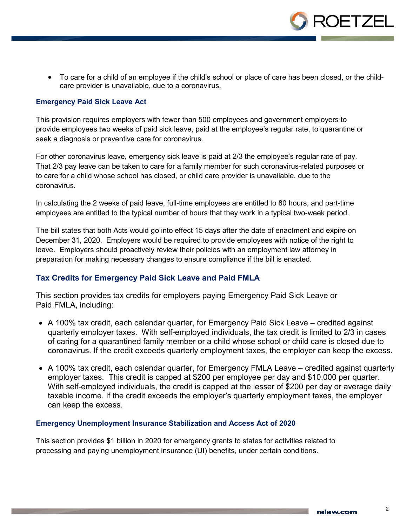

• To care for a child of an employee if the child's school or place of care has been closed, or the childcare provider is unavailable, due to a coronavirus.

#### **Emergency Paid Sick Leave Act**

This provision requires employers with fewer than 500 employees and government employers to provide employees two weeks of paid sick leave, paid at the employee's regular rate, to quarantine or seek a diagnosis or preventive care for coronavirus.

For other coronavirus leave, emergency sick leave is paid at 2/3 the employee's regular rate of pay. That 2/3 pay leave can be taken to care for a family member for such coronavirus-related purposes or to care for a child whose school has closed, or child care provider is unavailable, due to the coronavirus.

In calculating the 2 weeks of paid leave, full-time employees are entitled to 80 hours, and part-time employees are entitled to the typical number of hours that they work in a typical two-week period.

The bill states that both Acts would go into effect 15 days after the date of enactment and expire on December 31, 2020. Employers would be required to provide employees with notice of the right to leave. Employers should proactively review their policies with an employment law attorney in preparation for making necessary changes to ensure compliance if the bill is enacted.

#### **Tax Credits for Emergency Paid Sick Leave and Paid FMLA**

This section provides tax credits for employers paying Emergency Paid Sick Leave or Paid FMLA, including:

- A 100% tax credit, each calendar quarter, for Emergency Paid Sick Leave credited against quarterly employer taxes. With self-employed individuals, the tax credit is limited to 2/3 in cases of caring for a quarantined family member or a child whose school or child care is closed due to coronavirus. If the credit exceeds quarterly employment taxes, the employer can keep the excess.
- A 100% tax credit, each calendar quarter, for Emergency FMLA Leave credited against quarterly employer taxes. This credit is capped at \$200 per employee per day and \$10,000 per quarter. With self-employed individuals, the credit is capped at the lesser of \$200 per day or average daily taxable income. If the credit exceeds the employer's quarterly employment taxes, the employer can keep the excess.

#### **Emergency Unemployment Insurance Stabilization and Access Act of 2020**

This section provides \$1 billion in 2020 for emergency grants to states for activities related to processing and paying unemployment insurance (UI) benefits, under certain conditions.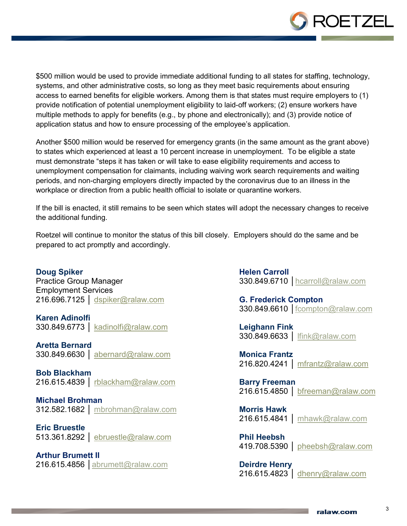

\$500 million would be used to provide immediate additional funding to all states for staffing, technology, systems, and other administrative costs, so long as they meet basic requirements about ensuring access to earned benefits for eligible workers. Among them is that states must require employers to (1) provide notification of potential unemployment eligibility to laid-off workers; (2) ensure workers have multiple methods to apply for benefits (e.g., by phone and electronically); and (3) provide notice of application status and how to ensure processing of the employee's application.

Another \$500 million would be reserved for emergency grants (in the same amount as the grant above) to states which experienced at least a 10 percent increase in unemployment. To be eligible a state must demonstrate "steps it has taken or will take to ease eligibility requirements and access to unemployment compensation for claimants, including waiving work search requirements and waiting periods, and non-charging employers directly impacted by the coronavirus due to an illness in the workplace or direction from a public health official to isolate or quarantine workers.

If the bill is enacted, it still remains to be seen which states will adopt the necessary changes to receive the additional funding.

Roetzel will continue to monitor the status of this bill closely. Employers should do the same and be prepared to act promptly and accordingly.

**Doug Spiker** Practice Group Manager Employment Services 216.696.7125 │ [dspiker@ralaw.com](mailto:dspiker@ralaw.com)

**Karen Adinolfi** 330.849.6773 │ kadinolfi@ralaw.com

**Aretta Bernard** 330.849.6630 │ abernard@ralaw.com

**Bob Blackham** 216.615.4839 │ [rblackham@ralaw.com](mailto:rblackham@ralaw.com)

**Michael Brohman**

312.582.1682 │ [mbrohman@ralaw.com](mailto:mbrohman@ralaw.com)

**Eric Bruestle** 513.361.8292 │ [ebruestle@ralaw.com](mailto:ebruestle@ralaw.com)

**Arthur Brumett II** 216.615.4856 │[abrumett@ralaw.com](file://akrdata01/Data/Marketing%20Data/Alerts/2019/Employment%20-%20Obamacare%20-%2012.19.19/abrumett@ralaw.com) **Helen Carroll** 330.849.6710 │[hcarroll@ralaw.com](mailto:hcarroll@ralaw.com)

**G. Frederick Compton** 330.849.6610 │fcompton@ralaw.com

**Leighann Fink** 330.849.6633 │ [lfink@ralaw.com](mailto:lfink@ralaw.com)

**Monica Frantz** 216.820.4241 | mfrantz@ralaw.com

**Barry Freeman** 216.615.4850 │ bfreeman@ralaw.com

**Morris Hawk** 216.615.4841 │ [mhawk@ralaw.com](mailto:mhawk@ralaw.com)

**Phil Heebsh** 419.708.5390 │ [pheebsh@ralaw.com](mailto:pheebsh@ralaw.com)

**Deirdre Henry** 216.615.4823 │ [dhenry@ralaw.com](mailto:dhenry@ralaw.com)